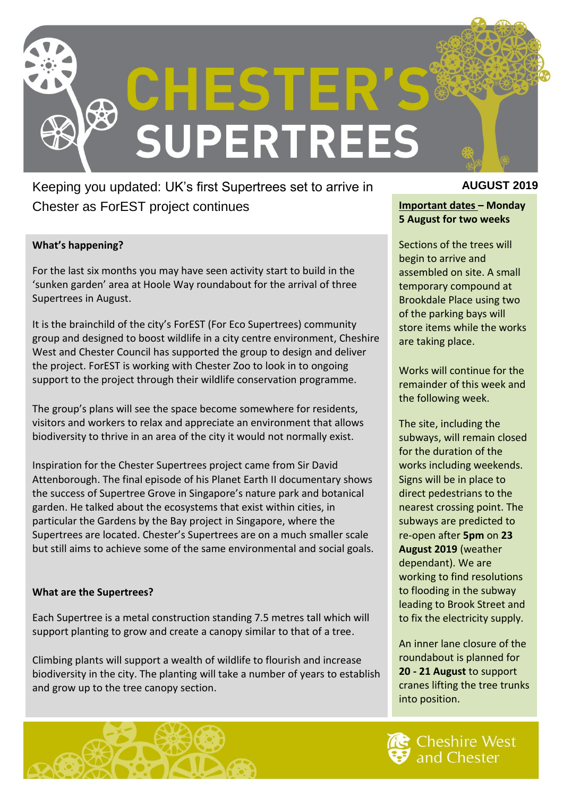

Keeping you updated: UK's first Supertrees set to arrive in **AUGUST 2019** Chester as ForEST project continues **Important dates – Monday** 

#### **What's happening?**

For the last six months you may have seen activity start to build in the 'sunken garden' area at Hoole Way roundabout for the arrival of three Supertrees in August.

It is the brainchild of the city's ForEST (For Eco Supertrees) community group and designed to boost wildlife in a city centre environment, Cheshire West and Chester Council has supported the group to design and deliver the project. ForEST is working with Chester Zoo to look in to ongoing support to the project through their wildlife conservation programme.

The group's plans will see the space become somewhere for residents, visitors and workers to relax and appreciate an environment that allows biodiversity to thrive in an area of the city it would not normally exist.

Inspiration for the Chester Supertrees project came from Sir David Attenborough. The final episode of his Planet Earth II documentary shows the success of Supertree Grove in Singapore's nature park and botanical garden. He talked about the ecosystems that exist within cities, in particular the Gardens by the Bay project in Singapore, where the Supertrees are located. Chester's Supertrees are on a much smaller scale but still aims to achieve some of the same environmental and social goals.

#### **What are the Supertrees?**

Each Supertree is a metal construction standing 7.5 metres tall which will support planting to grow and create a canopy similar to that of a tree.

Climbing plants will support a wealth of wildlife to flourish and increase biodiversity in the city. The planting will take a number of years to establish and grow up to the tree canopy section.



# **5 August for two weeks**

Sections of the trees will begin to arrive and assembled on site. A small temporary compound at Brookdale Place using two of the parking bays will store items while the works are taking place.

Works will continue for the remainder of this week and the following week.

The site, including the subways, will remain closed for the duration of the works including weekends. Signs will be in place to direct pedestrians to the nearest crossing point. The subways are predicted to re-open after **5pm** on **23 August 2019** (weather dependant). We are working to find resolutions to flooding in the subway leading to Brook Street and to fix the electricity supply.

An inner lane closure of the roundabout is planned for **20 - 21 August** to support cranes lifting the tree trunks into position.